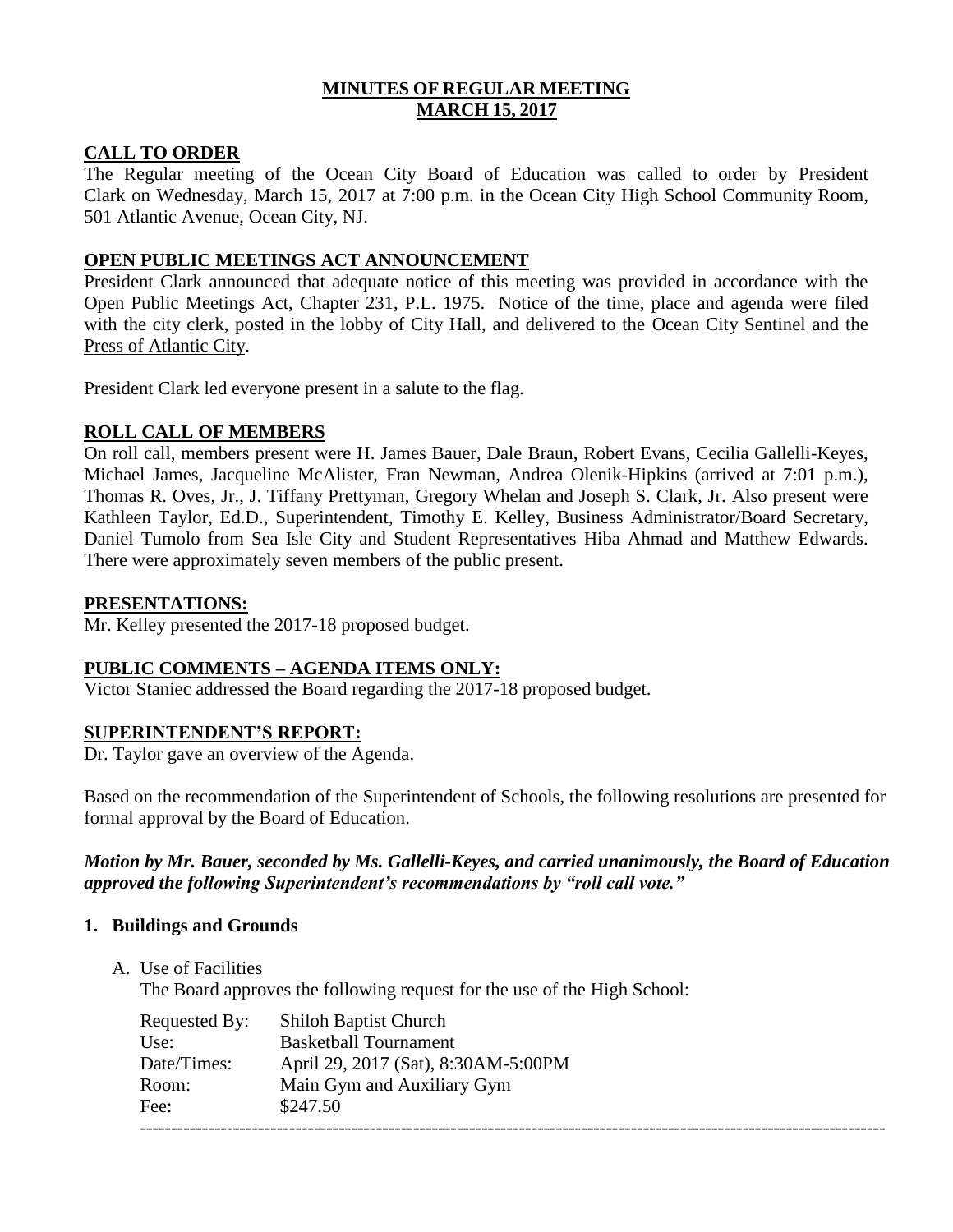## **MINUTES OF REGULAR MEETING MARCH 15, 2017**

## **CALL TO ORDER**

The Regular meeting of the Ocean City Board of Education was called to order by President Clark on Wednesday, March 15, 2017 at 7:00 p.m. in the Ocean City High School Community Room, 501 Atlantic Avenue, Ocean City, NJ.

## **OPEN PUBLIC MEETINGS ACT ANNOUNCEMENT**

President Clark announced that adequate notice of this meeting was provided in accordance with the Open Public Meetings Act, Chapter 231, P.L. 1975. Notice of the time, place and agenda were filed with the city clerk, posted in the lobby of City Hall, and delivered to the Ocean City Sentinel and the Press of Atlantic City.

President Clark led everyone present in a salute to the flag.

## **ROLL CALL OF MEMBERS**

On roll call, members present were H. James Bauer, Dale Braun, Robert Evans, Cecilia Gallelli-Keyes, Michael James, Jacqueline McAlister, Fran Newman, Andrea Olenik-Hipkins (arrived at 7:01 p.m.), Thomas R. Oves, Jr., J. Tiffany Prettyman, Gregory Whelan and Joseph S. Clark, Jr. Also present were Kathleen Taylor, Ed.D., Superintendent, Timothy E. Kelley, Business Administrator/Board Secretary, Daniel Tumolo from Sea Isle City and Student Representatives Hiba Ahmad and Matthew Edwards. There were approximately seven members of the public present.

### **PRESENTATIONS:**

Mr. Kelley presented the 2017-18 proposed budget.

## **PUBLIC COMMENTS – AGENDA ITEMS ONLY:**

Victor Staniec addressed the Board regarding the 2017-18 proposed budget.

### **SUPERINTENDENT'S REPORT:**

Dr. Taylor gave an overview of the Agenda.

Based on the recommendation of the Superintendent of Schools, the following resolutions are presented for formal approval by the Board of Education.

## *Motion by Mr. Bauer, seconded by Ms. Gallelli-Keyes, and carried unanimously, the Board of Education approved the following Superintendent's recommendations by "roll call vote."*

### **1. Buildings and Grounds**

A. Use of Facilities

The Board approves the following request for the use of the High School:

| Requested By: | <b>Shiloh Baptist Church</b>        |
|---------------|-------------------------------------|
| Use:          | <b>Basketball Tournament</b>        |
| Date/Times:   | April 29, 2017 (Sat), 8:30AM-5:00PM |
| Room:         | Main Gym and Auxiliary Gym          |
| Fee:          | \$247.50                            |
|               |                                     |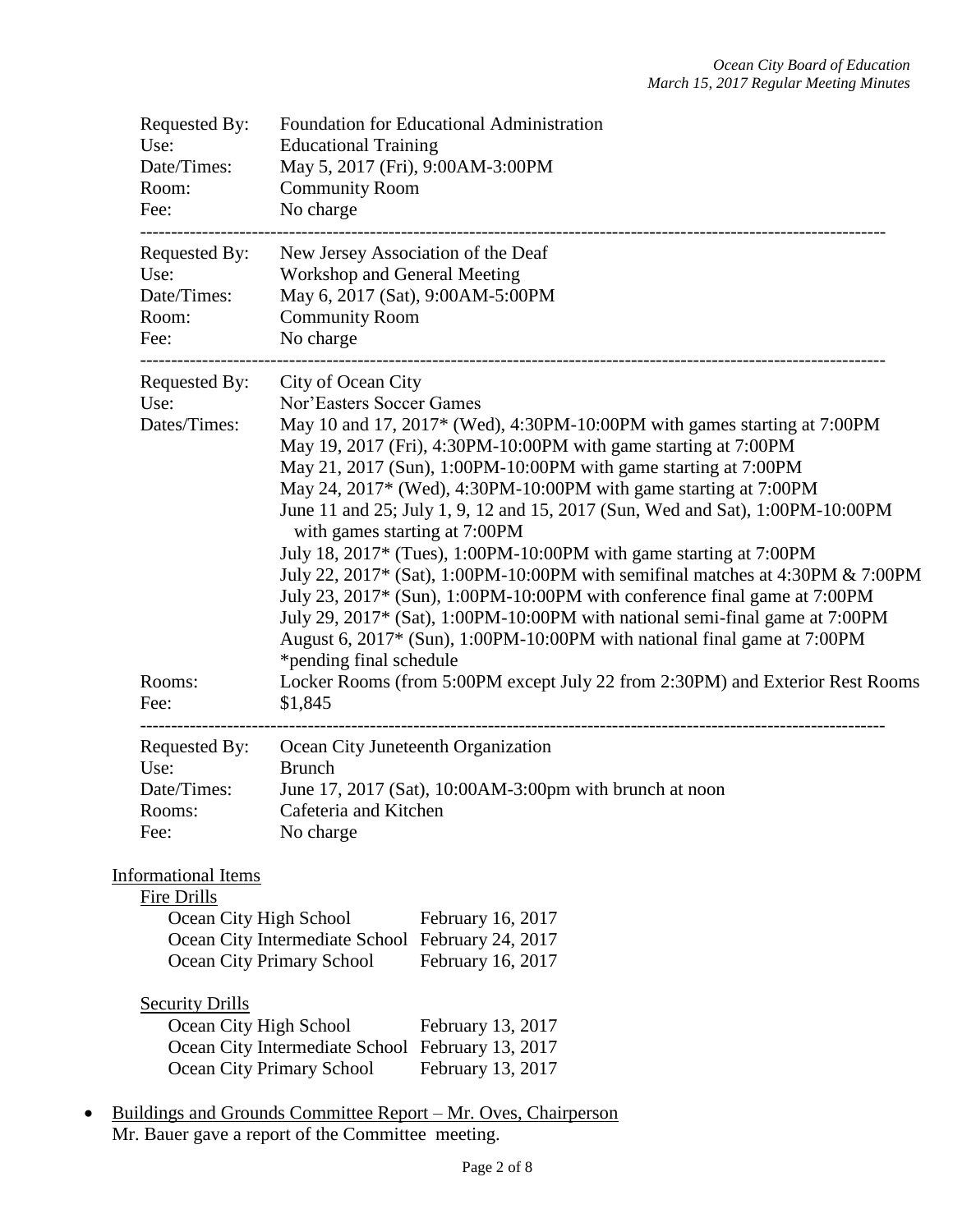| Requested By:<br>Use:<br>Date/Times:<br>Room:<br>Fee:               | Foundation for Educational Administration<br><b>Educational Training</b><br>May 5, 2017 (Fri), 9:00AM-3:00PM<br><b>Community Room</b><br>No charge                                                                                                                                                                                                                                                                                                                                                                                                                                                                                                                                                                                                                                                                                                                                                                                                                             |
|---------------------------------------------------------------------|--------------------------------------------------------------------------------------------------------------------------------------------------------------------------------------------------------------------------------------------------------------------------------------------------------------------------------------------------------------------------------------------------------------------------------------------------------------------------------------------------------------------------------------------------------------------------------------------------------------------------------------------------------------------------------------------------------------------------------------------------------------------------------------------------------------------------------------------------------------------------------------------------------------------------------------------------------------------------------|
| Requested By:<br>Use:<br>Date/Times:<br>Room:<br>Fee:               | New Jersey Association of the Deaf<br>Workshop and General Meeting<br>May 6, 2017 (Sat), 9:00AM-5:00PM<br><b>Community Room</b><br>No charge                                                                                                                                                                                                                                                                                                                                                                                                                                                                                                                                                                                                                                                                                                                                                                                                                                   |
| Requested By:<br>Use:<br>Dates/Times:<br>Rooms:<br>Fee:             | City of Ocean City<br>Nor'Easters Soccer Games<br>May 10 and 17, 2017* (Wed), 4:30PM-10:00PM with games starting at 7:00PM<br>May 19, 2017 (Fri), 4:30PM-10:00PM with game starting at 7:00PM<br>May 21, 2017 (Sun), 1:00PM-10:00PM with game starting at 7:00PM<br>May 24, 2017* (Wed), 4:30PM-10:00PM with game starting at 7:00PM<br>June 11 and 25; July 1, 9, 12 and 15, 2017 (Sun, Wed and Sat), 1:00PM-10:00PM<br>with games starting at 7:00PM<br>July 18, 2017* (Tues), 1:00PM-10:00PM with game starting at 7:00PM<br>July 22, 2017* (Sat), 1:00PM-10:00PM with semifinal matches at 4:30PM & 7:00PM<br>July 23, 2017* (Sun), 1:00PM-10:00PM with conference final game at 7:00PM<br>July 29, 2017* (Sat), 1:00PM-10:00PM with national semi-final game at 7:00PM<br>August 6, 2017* (Sun), 1:00PM-10:00PM with national final game at 7:00PM<br>*pending final schedule<br>Locker Rooms (from 5:00PM except July 22 from 2:30PM) and Exterior Rest Rooms<br>\$1,845 |
| Requested By:<br>Use:<br>Date/Times:<br>Rooms:<br>Fee:              | Ocean City Juneteenth Organization<br><b>Brunch</b><br>June 17, 2017 (Sat), 10:00 AM-3:00pm with brunch at noon<br>Cafeteria and Kitchen<br>No charge                                                                                                                                                                                                                                                                                                                                                                                                                                                                                                                                                                                                                                                                                                                                                                                                                          |
| <b>Informational Items</b><br>Fire Drills<br>Ocean City High School | February 16, 2017<br>Ocean City Intermediate School February 24, 2017<br>February 16, 2017<br>Ocean City Primary School                                                                                                                                                                                                                                                                                                                                                                                                                                                                                                                                                                                                                                                                                                                                                                                                                                                        |
| <b>Security Drills</b><br>Ocean City High School                    | February 13, 2017<br>February 13, 2017<br>Ocean City Intermediate School<br><b>Ocean City Primary School</b><br>February 13, 2017<br>Buildings and Grounds Committee Report – Mr. Oves, Chairperson                                                                                                                                                                                                                                                                                                                                                                                                                                                                                                                                                                                                                                                                                                                                                                            |

Mr. Bauer gave a report of the Committee meeting.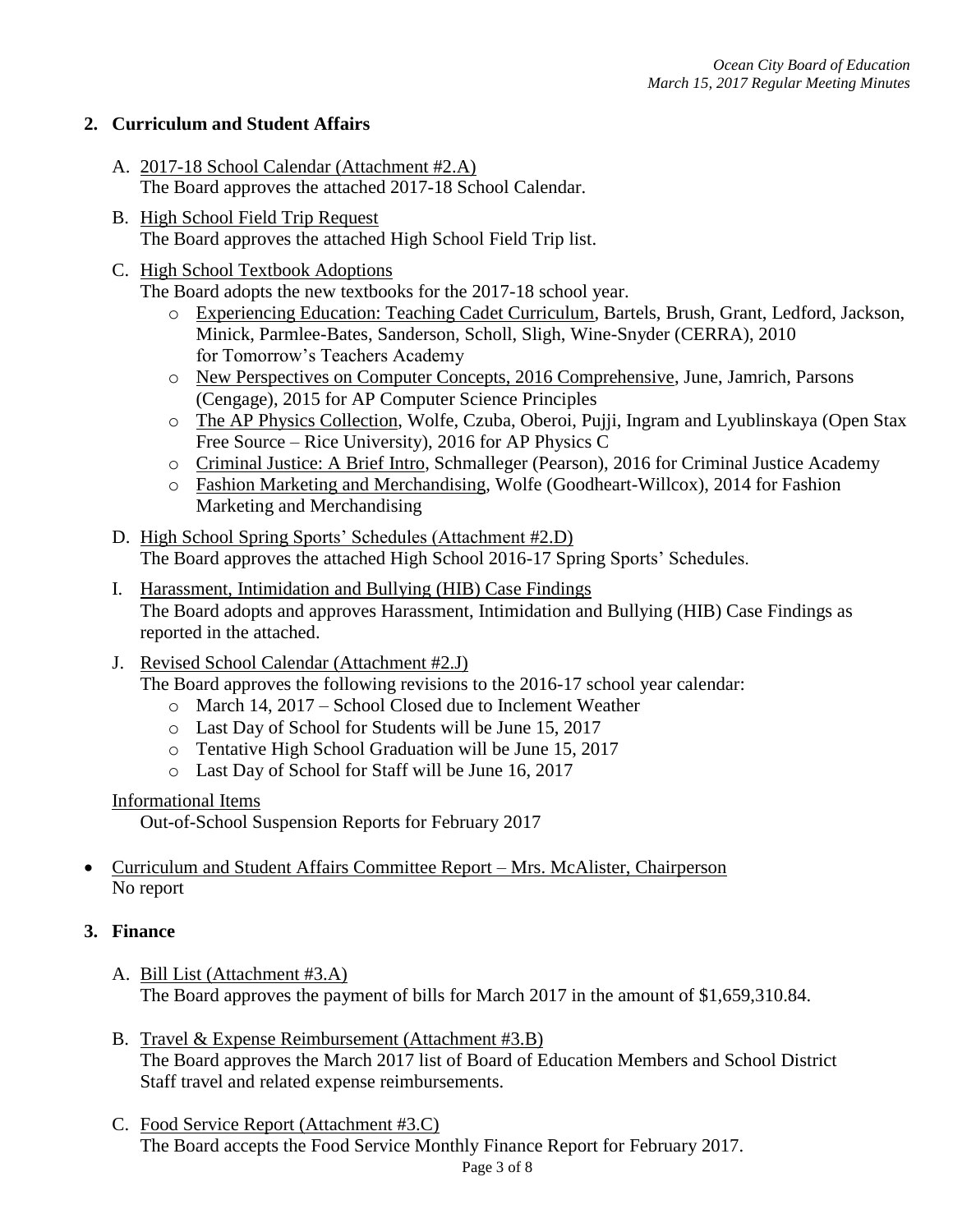# **2. Curriculum and Student Affairs**

- A. 2017-18 School Calendar (Attachment #2.A) The Board approves the attached 2017-18 School Calendar.
- B. High School Field Trip Request The Board approves the attached High School Field Trip list.

# C. High School Textbook Adoptions

The Board adopts the new textbooks for the 2017-18 school year.

- o Experiencing Education: Teaching Cadet Curriculum, Bartels, Brush, Grant, Ledford, Jackson, Minick, Parmlee-Bates, Sanderson, Scholl, Sligh, Wine-Snyder (CERRA), 2010 for Tomorrow's Teachers Academy
- o New Perspectives on Computer Concepts, 2016 Comprehensive, June, Jamrich, Parsons (Cengage), 2015 for AP Computer Science Principles
- o The AP Physics Collection, Wolfe, Czuba, Oberoi, Pujji, Ingram and Lyublinskaya (Open Stax Free Source – Rice University), 2016 for AP Physics C
- o Criminal Justice: A Brief Intro, Schmalleger (Pearson), 2016 for Criminal Justice Academy
- o Fashion Marketing and Merchandising, Wolfe (Goodheart-Willcox), 2014 for Fashion Marketing and Merchandising
- D. High School Spring Sports' Schedules (Attachment #2.D) The Board approves the attached High School 2016-17 Spring Sports' Schedules.
- I. Harassment, Intimidation and Bullying (HIB) Case Findings The Board adopts and approves Harassment, Intimidation and Bullying (HIB) Case Findings as reported in the attached.
- J. Revised School Calendar (Attachment #2.J)

The Board approves the following revisions to the 2016-17 school year calendar:

- o March 14, 2017 School Closed due to Inclement Weather
- o Last Day of School for Students will be June 15, 2017
- o Tentative High School Graduation will be June 15, 2017
- o Last Day of School for Staff will be June 16, 2017

Informational Items

Out-of-School Suspension Reports for February 2017

# Curriculum and Student Affairs Committee Report – Mrs. McAlister, Chairperson No report

# **3. Finance**

- A. Bill List (Attachment #3.A) The Board approves the payment of bills for March 2017 in the amount of \$1,659,310.84.
- B. Travel & Expense Reimbursement (Attachment #3.B) The Board approves the March 2017 list of Board of Education Members and School District Staff travel and related expense reimbursements.
- C. Food Service Report (Attachment #3.C) The Board accepts the Food Service Monthly Finance Report for February 2017.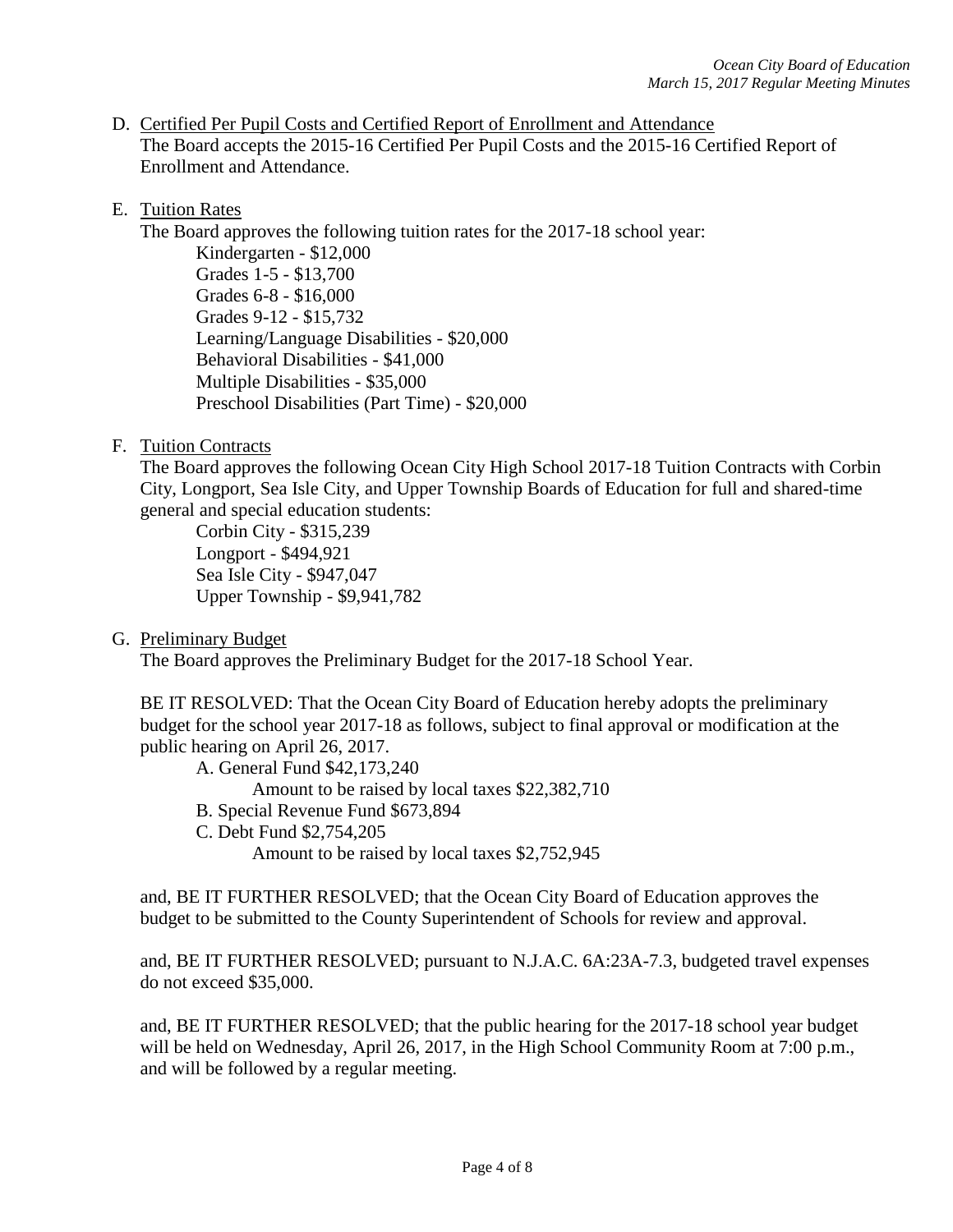D. Certified Per Pupil Costs and Certified Report of Enrollment and Attendance The Board accepts the 2015-16 Certified Per Pupil Costs and the 2015-16 Certified Report of Enrollment and Attendance.

## E. Tuition Rates

The Board approves the following tuition rates for the 2017-18 school year:

Kindergarten - \$12,000 Grades 1-5 - \$13,700 Grades 6-8 - \$16,000 Grades 9-12 - \$15,732 Learning/Language Disabilities - \$20,000 Behavioral Disabilities - \$41,000 Multiple Disabilities - \$35,000 Preschool Disabilities (Part Time) - \$20,000

F. Tuition Contracts

The Board approves the following Ocean City High School 2017-18 Tuition Contracts with Corbin City, Longport, Sea Isle City, and Upper Township Boards of Education for full and shared-time general and special education students:

Corbin City - \$315,239 Longport - \$494,921 Sea Isle City - \$947,047 Upper Township - \$9,941,782

G. Preliminary Budget

The Board approves the Preliminary Budget for the 2017-18 School Year.

BE IT RESOLVED: That the Ocean City Board of Education hereby adopts the preliminary budget for the school year 2017-18 as follows, subject to final approval or modification at the public hearing on April 26, 2017.

A. General Fund \$42,173,240

Amount to be raised by local taxes \$22,382,710

- B. Special Revenue Fund \$673,894
- C. Debt Fund \$2,754,205

Amount to be raised by local taxes \$2,752,945

and, BE IT FURTHER RESOLVED; that the Ocean City Board of Education approves the budget to be submitted to the County Superintendent of Schools for review and approval.

and, BE IT FURTHER RESOLVED; pursuant to N.J.A.C. 6A:23A-7.3, budgeted travel expenses do not exceed \$35,000.

and, BE IT FURTHER RESOLVED; that the public hearing for the 2017-18 school year budget will be held on Wednesday, April 26, 2017, in the High School Community Room at 7:00 p.m., and will be followed by a regular meeting.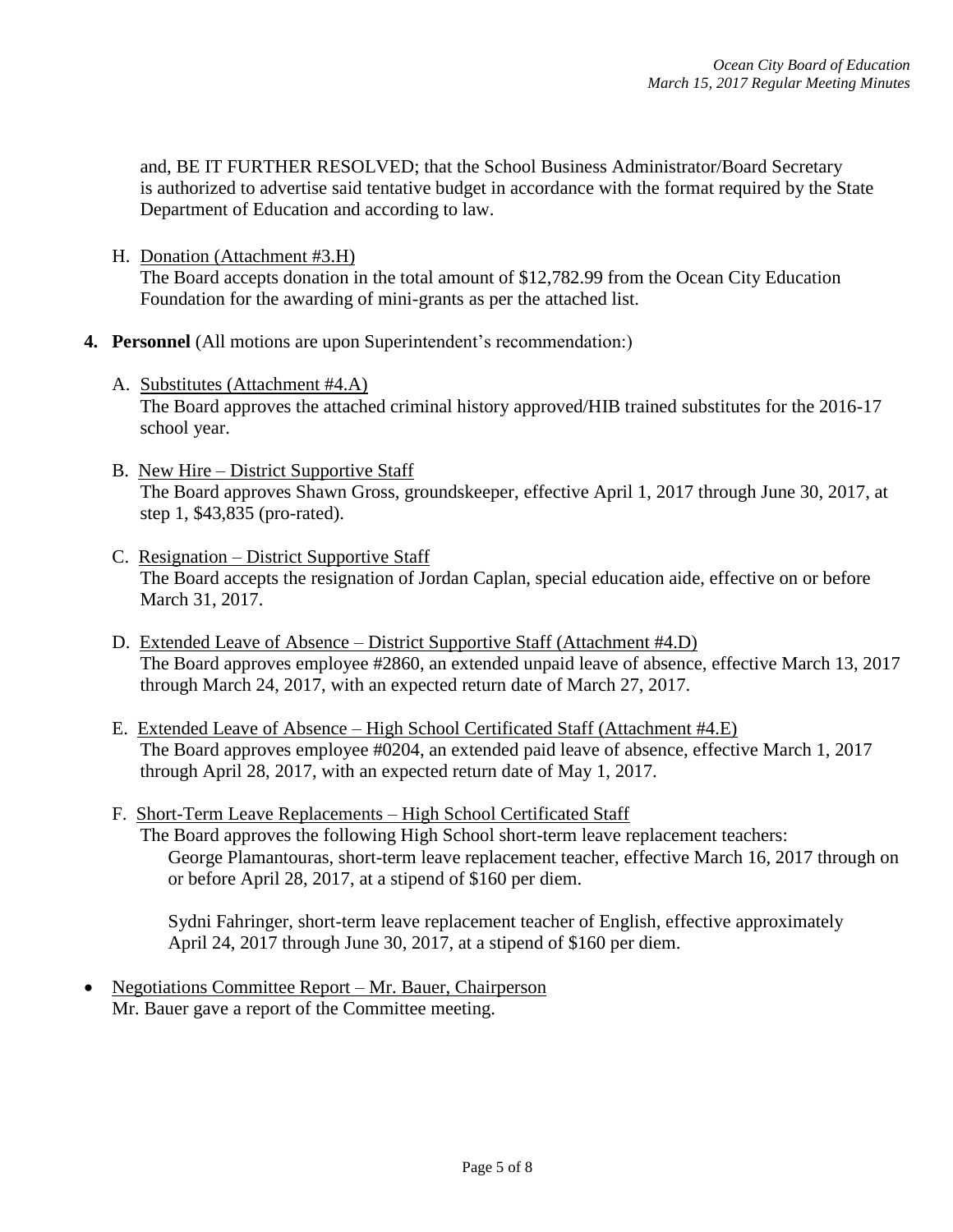and, BE IT FURTHER RESOLVED; that the School Business Administrator/Board Secretary is authorized to advertise said tentative budget in accordance with the format required by the State Department of Education and according to law.

- H. Donation (Attachment #3.H) The Board accepts donation in the total amount of \$12,782.99 from the Ocean City Education Foundation for the awarding of mini-grants as per the attached list.
- **4. Personnel** (All motions are upon Superintendent's recommendation:)
	- A. Substitutes (Attachment #4.A) The Board approves the attached criminal history approved/HIB trained substitutes for the 2016-17 school year.
	- B. New Hire District Supportive Staff The Board approves Shawn Gross, groundskeeper, effective April 1, 2017 through June 30, 2017, at step 1, \$43,835 (pro-rated).
	- C. Resignation District Supportive Staff The Board accepts the resignation of Jordan Caplan, special education aide, effective on or before March 31, 2017.
	- D. Extended Leave of Absence District Supportive Staff (Attachment #4.D) The Board approves employee #2860, an extended unpaid leave of absence, effective March 13, 2017 through March 24, 2017, with an expected return date of March 27, 2017.
	- E. Extended Leave of Absence High School Certificated Staff (Attachment #4.E) The Board approves employee #0204, an extended paid leave of absence, effective March 1, 2017 through April 28, 2017, with an expected return date of May 1, 2017.
	- F. Short-Term Leave Replacements High School Certificated Staff The Board approves the following High School short-term leave replacement teachers: George Plamantouras, short-term leave replacement teacher, effective March 16, 2017 through on or before April 28, 2017, at a stipend of \$160 per diem.

Sydni Fahringer, short-term leave replacement teacher of English, effective approximately April 24, 2017 through June 30, 2017, at a stipend of \$160 per diem.

 Negotiations Committee Report – Mr. Bauer, Chairperson Mr. Bauer gave a report of the Committee meeting.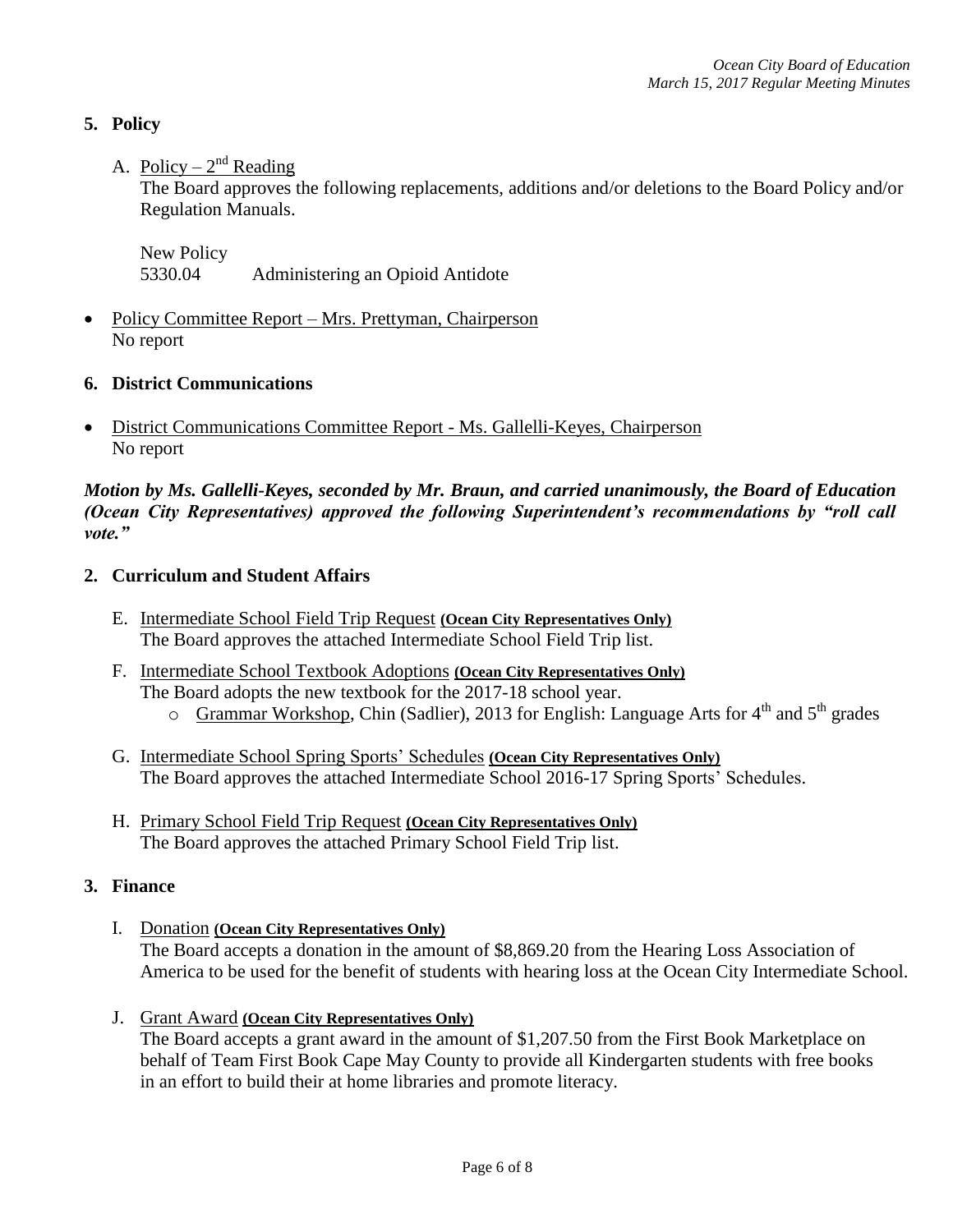# **5. Policy**

# A. Policy –  $2^{nd}$  Reading

The Board approves the following replacements, additions and/or deletions to the Board Policy and/or Regulation Manuals.

New Policy 5330.04 Administering an Opioid Antidote

• Policy Committee Report – Mrs. Prettyman, Chairperson No report

## **6. District Communications**

• District Communications Committee Report - Ms. Gallelli-Keyes, Chairperson No report

*Motion by Ms. Gallelli-Keyes, seconded by Mr. Braun, and carried unanimously, the Board of Education (Ocean City Representatives) approved the following Superintendent's recommendations by "roll call vote."* 

## **2. Curriculum and Student Affairs**

- E. Intermediate School Field Trip Request **(Ocean City Representatives Only)** The Board approves the attached Intermediate School Field Trip list.
- F. Intermediate School Textbook Adoptions **(Ocean City Representatives Only)** The Board adopts the new textbook for the 2017-18 school year.  $\circ$  Grammar Workshop, Chin (Sadlier), 2013 for English: Language Arts for 4<sup>th</sup> and 5<sup>th</sup> grades
- G. Intermediate School Spring Sports' Schedules **(Ocean City Representatives Only)** The Board approves the attached Intermediate School 2016-17 Spring Sports' Schedules.
- H. Primary School Field Trip Request **(Ocean City Representatives Only)** The Board approves the attached Primary School Field Trip list.

## **3. Finance**

- I. Donation **(Ocean City Representatives Only)**  The Board accepts a donation in the amount of \$8,869.20 from the Hearing Loss Association of America to be used for the benefit of students with hearing loss at the Ocean City Intermediate School.
- J. Grant Award **(Ocean City Representatives Only)**

The Board accepts a grant award in the amount of \$1,207.50 from the First Book Marketplace on behalf of Team First Book Cape May County to provide all Kindergarten students with free books in an effort to build their at home libraries and promote literacy.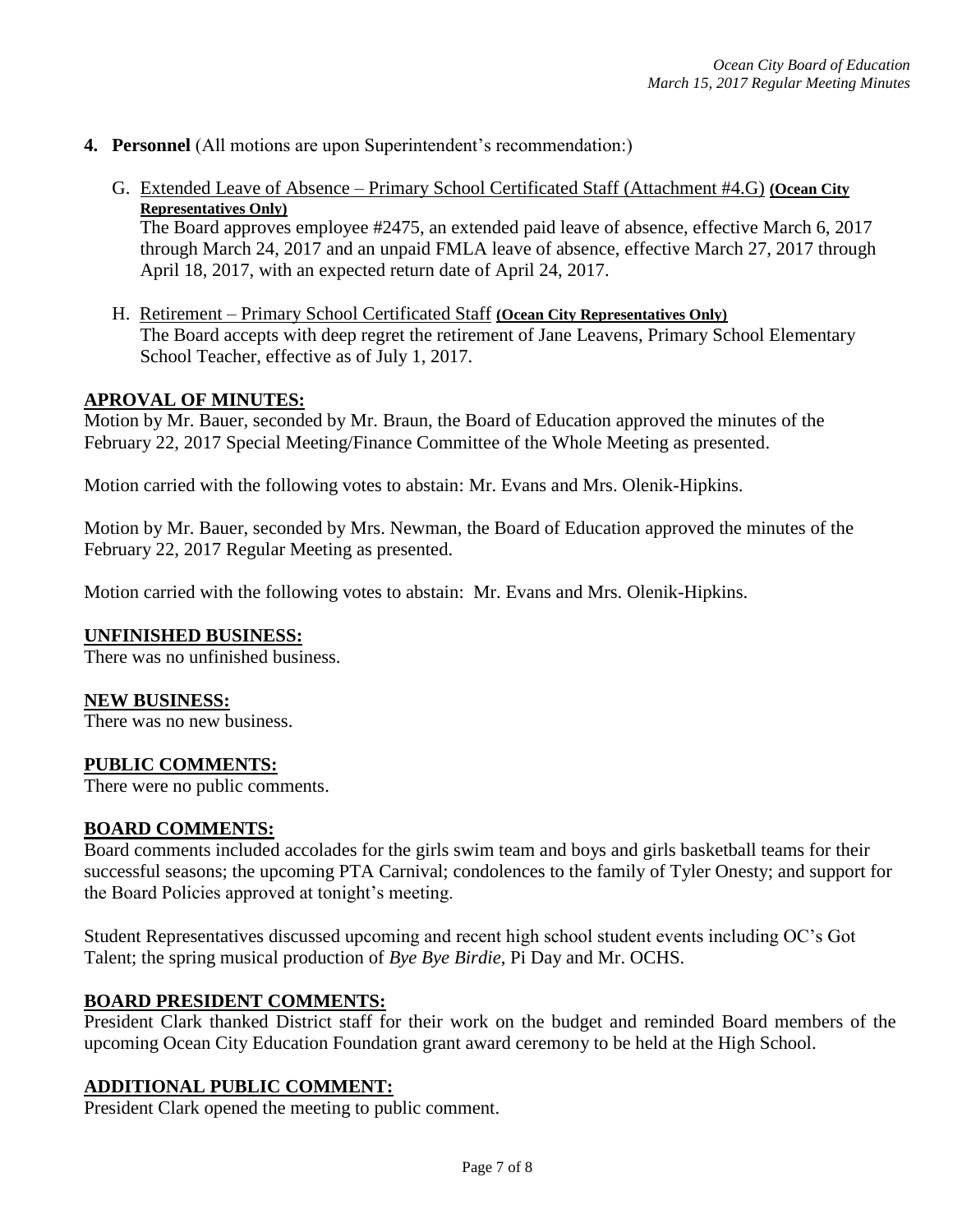- **4. Personnel** (All motions are upon Superintendent's recommendation:)
	- G. Extended Leave of Absence Primary School Certificated Staff (Attachment #4.G) **(Ocean City Representatives Only)**

The Board approves employee #2475, an extended paid leave of absence, effective March 6, 2017 through March 24, 2017 and an unpaid FMLA leave of absence, effective March 27, 2017 through April 18, 2017, with an expected return date of April 24, 2017.

H. Retirement – Primary School Certificated Staff **(Ocean City Representatives Only)** The Board accepts with deep regret the retirement of Jane Leavens, Primary School Elementary School Teacher, effective as of July 1, 2017.

#### **APROVAL OF MINUTES:**

Motion by Mr. Bauer, seconded by Mr. Braun, the Board of Education approved the minutes of the February 22, 2017 Special Meeting/Finance Committee of the Whole Meeting as presented.

Motion carried with the following votes to abstain: Mr. Evans and Mrs. Olenik-Hipkins.

Motion by Mr. Bauer, seconded by Mrs. Newman, the Board of Education approved the minutes of the February 22, 2017 Regular Meeting as presented.

Motion carried with the following votes to abstain: Mr. Evans and Mrs. Olenik-Hipkins.

#### **UNFINISHED BUSINESS:**

There was no unfinished business.

#### **NEW BUSINESS:**

There was no new business.

#### **PUBLIC COMMENTS:**

There were no public comments.

#### **BOARD COMMENTS:**

Board comments included accolades for the girls swim team and boys and girls basketball teams for their successful seasons; the upcoming PTA Carnival; condolences to the family of Tyler Onesty; and support for the Board Policies approved at tonight's meeting.

Student Representatives discussed upcoming and recent high school student events including OC's Got Talent; the spring musical production of *Bye Bye Birdie*, Pi Day and Mr. OCHS.

### **BOARD PRESIDENT COMMENTS:**

President Clark thanked District staff for their work on the budget and reminded Board members of the upcoming Ocean City Education Foundation grant award ceremony to be held at the High School.

### **ADDITIONAL PUBLIC COMMENT:**

President Clark opened the meeting to public comment.